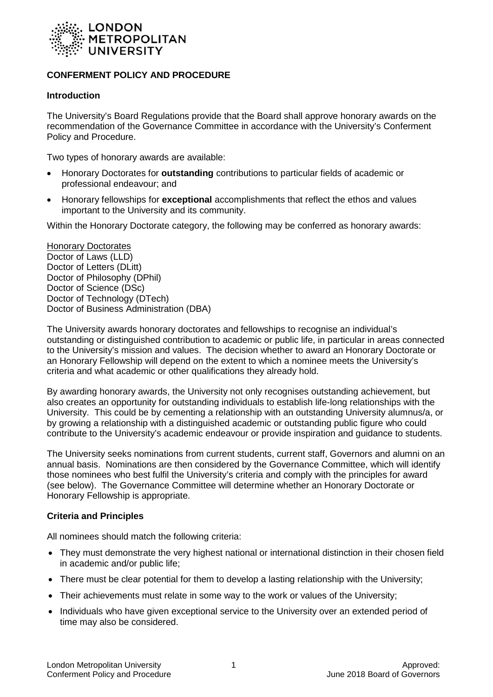

# **CONFERMENT POLICY AND PROCEDURE**

#### **Introduction**

The University's Board Regulations provide that the Board shall approve honorary awards on the recommendation of the Governance Committee in accordance with the University's Conferment Policy and Procedure.

Two types of honorary awards are available:

- Honorary Doctorates for **outstanding** contributions to particular fields of academic or professional endeavour; and
- Honorary fellowships for **exceptional** accomplishments that reflect the ethos and values important to the University and its community.

Within the Honorary Doctorate category, the following may be conferred as honorary awards:

Honorary Doctorates Doctor of Laws (LLD) Doctor of Letters (DLitt) Doctor of Philosophy (DPhil) Doctor of Science (DSc) Doctor of Technology (DTech) Doctor of Business Administration (DBA)

The University awards honorary doctorates and fellowships to recognise an individual's outstanding or distinguished contribution to academic or public life, in particular in areas connected to the University's mission and values. The decision whether to award an Honorary Doctorate or an Honorary Fellowship will depend on the extent to which a nominee meets the University's criteria and what academic or other qualifications they already hold.

By awarding honorary awards, the University not only recognises outstanding achievement, but also creates an opportunity for outstanding individuals to establish life-long relationships with the University. This could be by cementing a relationship with an outstanding University alumnus/a, or by growing a relationship with a distinguished academic or outstanding public figure who could contribute to the University's academic endeavour or provide inspiration and guidance to students.

The University seeks nominations from current students, current staff, Governors and alumni on an annual basis. Nominations are then considered by the Governance Committee, which will identify those nominees who best fulfil the University's criteria and comply with the principles for award (see below). The Governance Committee will determine whether an Honorary Doctorate or Honorary Fellowship is appropriate.

## **Criteria and Principles**

All nominees should match the following criteria:

- They must demonstrate the very highest national or international distinction in their chosen field in academic and/or public life;
- There must be clear potential for them to develop a lasting relationship with the University;
- Their achievements must relate in some way to the work or values of the University;
- Individuals who have given exceptional service to the University over an extended period of time may also be considered.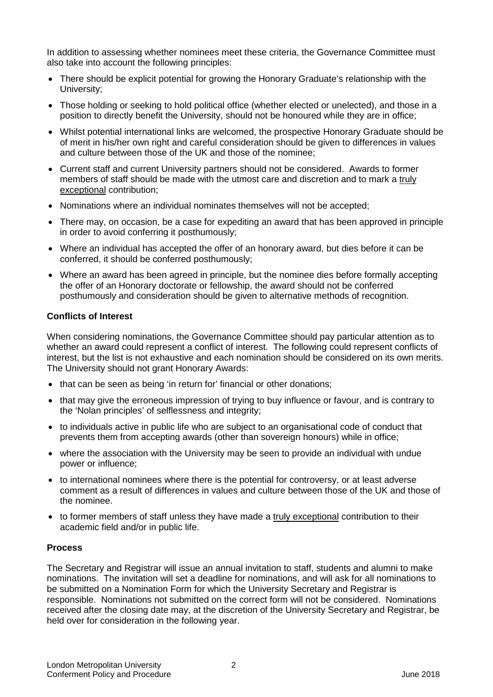In addition to assessing whether nominees meet these criteria, the Governance Committee must also take into account the following principles:

- There should be explicit potential for growing the Honorary Graduate's relationship with the University;
- Those holding or seeking to hold political office (whether elected or unelected), and those in a position to directly benefit the University, should not be honoured while they are in office;
- Whilst potential international links are welcomed, the prospective Honorary Graduate should be of merit in his/her own right and careful consideration should be given to differences in values and culture between those of the UK and those of the nominee;
- Current staff and current University partners should not be considered. Awards to former members of staff should be made with the utmost care and discretion and to mark a truly exceptional contribution;
- Nominations where an individual nominates themselves will not be accepted;
- There may, on occasion, be a case for expediting an award that has been approved in principle in order to avoid conferring it posthumously;
- Where an individual has accepted the offer of an honorary award, but dies before it can be conferred, it should be conferred posthumously;
- Where an award has been agreed in principle, but the nominee dies before formally accepting the offer of an Honorary doctorate or fellowship, the award should not be conferred posthumously and consideration should be given to alternative methods of recognition.

#### **Conflicts of Interest**

When considering nominations, the Governance Committee should pay particular attention as to whether an award could represent a conflict of interest. The following could represent conflicts of interest, but the list is not exhaustive and each nomination should be considered on its own merits. The University should not grant Honorary Awards:

- that can be seen as being 'in return for' financial or other donations;
- that may give the erroneous impression of trying to buy influence or favour, and is contrary to the 'Nolan principles' of selflessness and integrity;
- to individuals active in public life who are subject to an organisational code of conduct that prevents them from accepting awards (other than sovereign honours) while in office;
- where the association with the University may be seen to provide an individual with undue power or influence;
- to international nominees where there is the potential for controversy, or at least adverse comment as a result of differences in values and culture between those of the UK and those of the nominee.
- to former members of staff unless they have made a truly exceptional contribution to their academic field and/or in public life.

## **Process**

The Secretary and Registrar will issue an annual invitation to staff, students and alumni to make nominations. The invitation will set a deadline for nominations, and will ask for all nominations to be submitted on a Nomination Form for which the University Secretary and Registrar is responsible. Nominations not submitted on the correct form will not be considered. Nominations received after the closing date may, at the discretion of the University Secretary and Registrar, be held over for consideration in the following year.